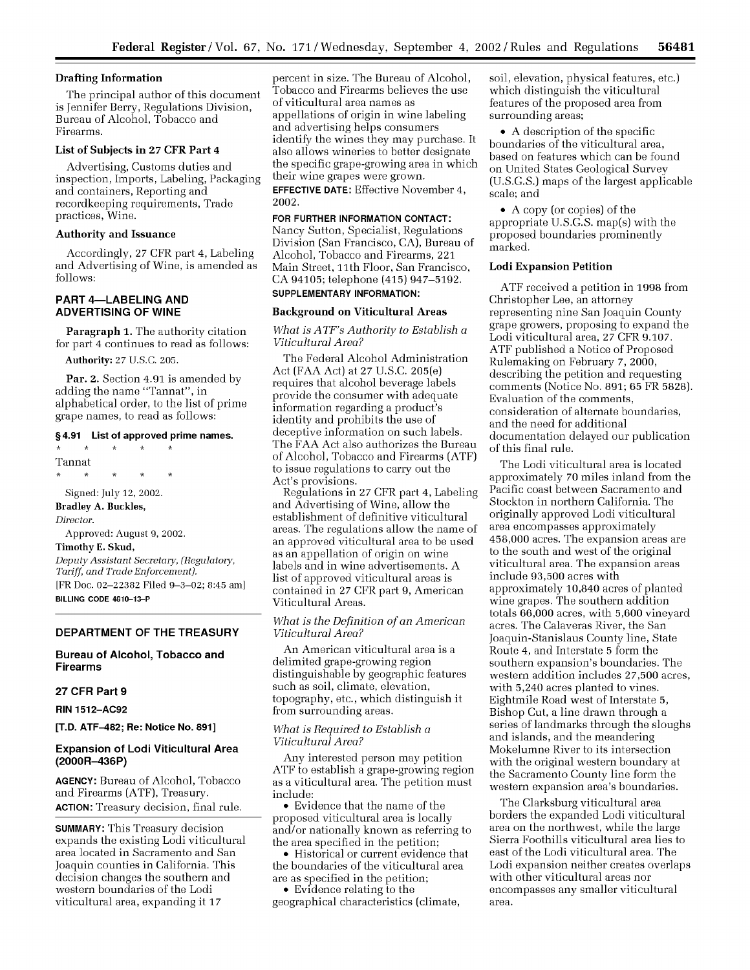# **Drafting Information**

The principal author of this document is Jennifer Berry, Regulations Division, Bureau of Alcohol, Tobacco and Firearms.

# **List of Subjects in 27** CFR Part 4

Advertising, Customs duties and inspection, Imports, Labeling, Packaging and containers, Reporting and recordkeeping requirements, Trade practices, Wine.

# **Authority and Issuance**

Accordingly, 27 CFR part 4, Labeling and Advertising of Wine, is amended as follows:

# **PART 4-LABELING AND ADVERTISING OF WINE**

**Paragraph 1.** The authority citation for part 4 continues to read as follows:

Authority: 27 U.S.C. 205.

Par. 2. Section 4.91 is amended by adding the name "Tannat", in alphabetical order, to the list of prime grape names, to read as follows:

#### **§4.91 List of approved prime names.**

 $\star$  $\star$  $*$ Tannat  $\mathbf{r}$  $\star$ Signed: July 12, 2002. **Bradley A. Buckles,** *Director.* Approved: August 9, 2002. **Timothy E. Skud,** *Deputy Assistant Secretary, (Regulatory, Tariff, and Trade Enforcement).* [FR Doc. 02-22382 Filed **9-3-02;** 8:45 am] **BILLING CODE 4810-13-P**

# **DEPARTMENT OF THE TREASURY**

# **Bureau of Alcohol, Tobacco and Firearms**

# **27 CFR Part 9**

**RIN 1512-AC92**

**[T.D. ATF-482; Re: Notice No. 891]**

# **Expansion of Lodi Viticultural Area (2000R-436P)**

**AGENCY:** Bureau of Alcohol, Tobacco and Firearms (ATF), Treasury. **ACTION:** Treasury decision, final rule.

SUMMARY: This Treasury decision expands the existing Lodi viticultural area located in Sacramento and San Joaquin counties in California. This decision changes the southern and western boundaries of the Lodi viticultural area, expanding it 17

percent in size. The Bureau of Alcohol, Tobacco and Firearms believes the use of viticultural area names as appellations of origin in wine labeling and advertising helps consumers identify the wines they may purchase. It also allows wineries to better designate the specific grape-growing area in which their wine grapes were grown. **EFFECTIVE DATE:** Effective November 4,

2002.

# **FOR FURTHER INFORMATION CONTACT:**

Nancy Sutton, Specialist, Regulations Division (San Francisco, CA), Bureau of Alcohol, Tobacco and Firearms, 221 Main Street, 11th Floor, San Francisco, CA 94105; telephone (415) 947-5192. **SUPPLEMENTARY INFORMATION:**

# **Background on Viticultural Areas**

# *What is ATF's Authority to Establish a Viticultural Area?*

The Federal Alcohol Administration Act (FAA Act) at 27 U.S.C. 205(e) requires that alcohol beverage labels provide the consumer with adequate information regarding a product's identity and prohibits the use of deceptive information on such labels. The FAA Act also authorizes the Bureau of Alcohol, Tobacco and Firearms (ATF) to issue regulations to carry out the Act's provisions.

Regulations in 27 CFR part 4, Labeling and Advertising of Wine, allow the establishment of definitive viticultural areas. The regulations allow the name of an approved viticultural area to be used as an appellation of origin on wine labels and in wine advertisements. A list of approved viticultural areas is contained in 27 CFR part 9, American Viticultural Areas.

# *What is the Definition of an American Viticultural Area?*

An American viticultural area is a delimited grape-growing region distinguishable by geographic features such as soil, climate, elevation, topography, etc., which distinguish it from surrounding areas.

# *What is Required to Establish a Viticultural Area?*

Any interested person may petition ATF to establish a grape-growing region as a viticultural area. The petition must include:

• Evidence that the name of the proposed viticultural area is locally and/or nationally known as referring to the area specified in the petition;

• Historical or current evidence that the boundaries of the viticultural area are as specified in the petition; • Evidence relating to the

geographical characteristics (climate,

soil, elevation, physical features, etc.) which distinguish the viticultural features of the proposed area from surrounding areas;

• A description of the specific boundaries of the viticultural area, based on features which can be found on United States Geological Survey (U.S.G.S.) maps of the largest applicable scale; and

• A copy (or copies) of the appropriate U.S.G.S. map(s) with the proposed boundaries prominently marked.

# **Lodi Expansion Petition**

ATF received a petition in 1998 from Christopher Lee, an attorney representing nine San Joaquin County grape growers, proposing to expand the Lodi viticultural area, 27 CFR 9.107. ATF published a Notice of Proposed Rulemaking on February *7,* 2000, describing the petition and requesting comments (Notice No. 891; 65 FR 5828). Evaluation of the comments, consideration of alternate boundaries, and the need for additional documentation delayed our publication of this final rule.

The Lodi viticultural area is located approximately 70 miles inland from the Pacific coast between Sacramento and Stockton in northern California. The originally approved Lodi viticultural area encompasses approximately 458,000 acres. The expansion areas are to the south and west of the original viticultural area. The expansion areas include 93,500 acres with approximately 10,840 acres of planted wine grapes. The southern addition totals 66,000 acres, with 5,600 vineyard acres. The Calaveras River, the San Joaquin-Stanislaus County line, State Route 4, and Interstate **5** form the southern expansion's boundaries. The western addition includes 27,500 acres, with 5,240 acres planted to vines. Eightmile Road west of Interstate 5, Bishop Cut, a line drawn through a series of landmarks through the sloughs and islands, and the meandering Mokelumne River to its intersection with the original western boundary at the Sacramento County line form the western expansion area's boundaries.

The Clarksburg viticultural area borders the expanded Lodi viticultural area on the northwest, while the large Sierra Foothills viticultural area lies to east of the Lodi viticultural area. The Lodi expansion neither creates overlaps with other viticultural areas nor encompasses any smaller viticultural area.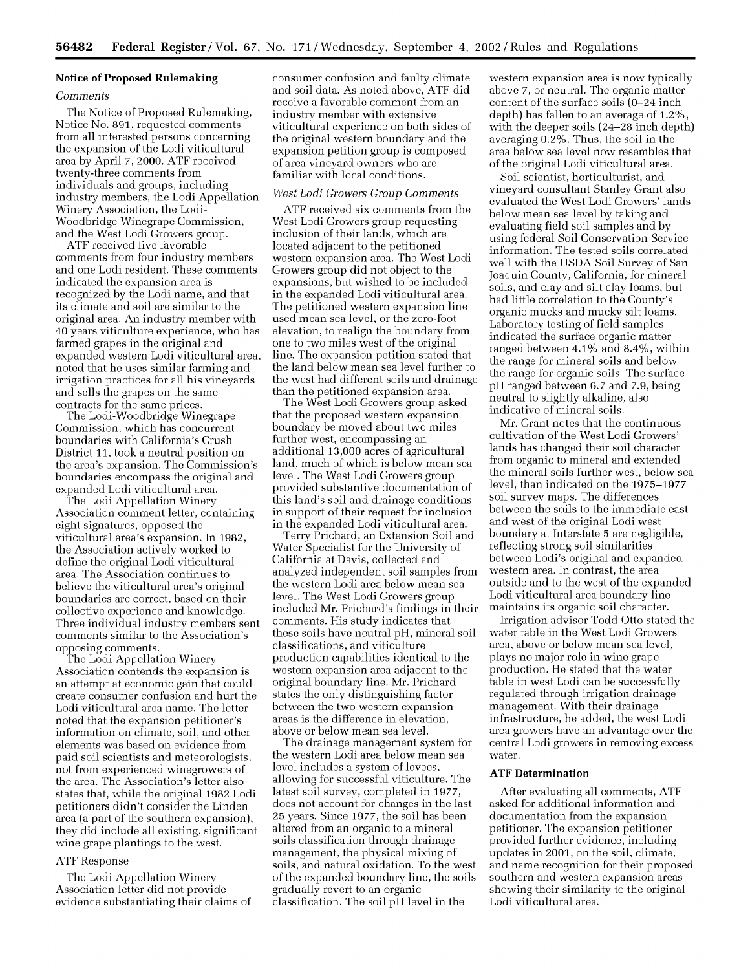# **Notice of Proposed Rulemaking**

#### *Comments*

The Notice of Proposed Rulemaking, Notice No. **891,** requested comments from all interested persons concerning the expansion of the Lodi viticultural area by April *7,* 2000. ATF received twenty-three comments from individuals and groups, including industry members, the Lodi Appellation Winery Association, the Lodi-Woodbridge Winegrape Commission, and the West Lodi Growers group.

ATF received five favorable comments from four industry members and one Lodi resident. These comments indicated the expansion area is recognized by the Lodi name, and that its climate and soil are similar to the original area. An industry member with 40 years viticulture experience, who has farmed grapes in the original and expanded western Lodi viticultural area, noted that he uses similar farming and irrigation practices for all his vineyards and sells the grapes on the same contracts for the same prices.

The Lodi-Woodbridge Winegrape Commission, which has concurrent boundaries with California's Crush District **11,** took a neutral position on the area's expansion. The Commission's boundaries encompass the original and expanded Lodi viticultural area.

The Lodi Appellation Winery Association comment letter, containing eight signatures, opposed the viticultural area's expansion. In **1982,** the Association actively worked to define the original Lodi viticultural area. The Association continues to believe the viticultural area's original boundaries are correct, based on their collective experience and knowledge. Three individual industry members sent comments similar to the Association's opposing comments.

The Lodi Appellation Winery Association contends the expansion is an attempt at economic gain that could create consumer confusion and hurt the Lodi viticultural area name. The letter noted that the expansion petitioner's information on climate, soil, and other elements was based on evidence from paid soil scientists and meteorologists, not from experienced winegrowers of the area. The Association's letter also states that, while the original **1982** Lodi petitioners didn't consider the Linden area (a part of the southern expansion), they did include all existing, significant wine grape plantings to the west.

#### ATF Response

The Lodi Appellation Winery Association letter did not provide evidence substantiating their claims of consumer confusion and faulty climate and soil data. As noted above, ATF did receive a favorable comment from an industry member with extensive viticultural experience on both sides of the original western boundary and the expansion petition group is composed of area vineyard owners who are familiar with local conditions.

## *West Lodi Growers Group Comments*

ATF received six comments from the West Lodi Growers group requesting inclusion of their lands, which are located adjacent to the petitioned western expansion area. The West Lodi Growers group did not object to the expansions, but wished to be included in the expanded Lodi viticultural area. The petitioned western expansion line used mean sea level, or the zero-foot elevation, to realign the boundary from one to two miles west of the original line. The expansion petition stated that the land below mean sea level further to the west had different soils and drainage than the petitioned expansion area.

The West Lodi Growers group asked that the proposed western expansion boundary be moved about two miles further west, encompassing an additional **13,000** acres of agricultural land, much of which is below mean sea level. The West Lodi Growers group provided substantive documentation of this land's soil and drainage conditions in support of their request for inclusion in the expanded Lodi viticultural area.

Terry Prichard, an Extension Soil and Water Specialist for the University of California at Davis, collected and analyzed independent soil samples from the western Lodi area below mean sea level. The West Lodi Growers group included Mr. Prichard's findings in their comments. His study indicates that these soils have neutral pH, mineral soil classifications, and viticulture production capabilities identical to the western expansion area adjacent to the original boundary line. Mr. Prichard states the only distinguishing factor between the two western expansion areas is the difference in elevation, above or below mean sea level.

The drainage management system for the western Lodi area below mean sea level includes a system of levees, allowing for successful viticulture. The latest soil survey, completed in **1977,** does not account for changes in the last **25** years. Since **1977,** the soil has been altered from an organic to a mineral soils classification through drainage management, the physical mixing of soils, and natural oxidation. To the west of the expanded boundary line, the soils gradually revert to an organic classification. The soil pH level in the

western expansion area is now typically above **7,** or neutral. The organic matter content of the surface soils (0-24 inch depth) has fallen to an average of 1.2%, with the deeper soils (24-28 inch depth) averaging 0.2%. Thus, the soil in the area below sea level now resembles that of the original Lodi viticultural area.

Soil scientist, horticulturist, and vineyard consultant Stanley Grant also evaluated the West Lodi Growers' lands below mean sea level by taking and evaluating field soil samples and by using federal Soil Conservation Service information. The tested soils correlated well with the USDA Soil Survey of San Joaquin County, California, for mineral soils, and clay and silt clay loams, but had little correlation to the County's organic mucks and mucky silt loams. Laboratory testing of field samples indicated the surface organic matter ranged between 4.1% and 8.4%, within the range for mineral soils and below the range for organic soils. The surface pH ranged between *6.7* and *7.9,* being neutral to slightly alkaline, also indicative of mineral soils.

Mr. Grant notes that the continuous cultivation of the West Lodi Growers' lands has changed their soil character from organic to mineral and extended the mineral soils further west, below sea level, than indicated on the **1975-1977** soil survey maps. The differences between the soils to the immediate east and west of the original Lodi west boundary at Interstate **5** are negligible, reflecting strong soil similarities between Lodi's original and expanded western area. In contrast, the area outside and to the west of the expanded Lodi viticultural area boundary line maintains its organic soil character.

Irrigation advisor Todd Otto stated the water table in the West Lodi Growers area, above or below mean sea level, plays no major role in wine grape production. He stated that the water table in west Lodi can be successfully regulated through irrigation drainage management. With their drainage infrastructure, he added, the west Lodi area growers have an advantage over the central Lodi growers in removing excess water.

# **ATF Determination**

After evaluating all comments, ATF asked for additional information and documentation from the expansion petitioner. The expansion petitioner provided further evidence, including updates in 2001, on the soil, climate, and name recognition for their proposed southern and western expansion areas showing their similarity to the original Lodi viticultural area.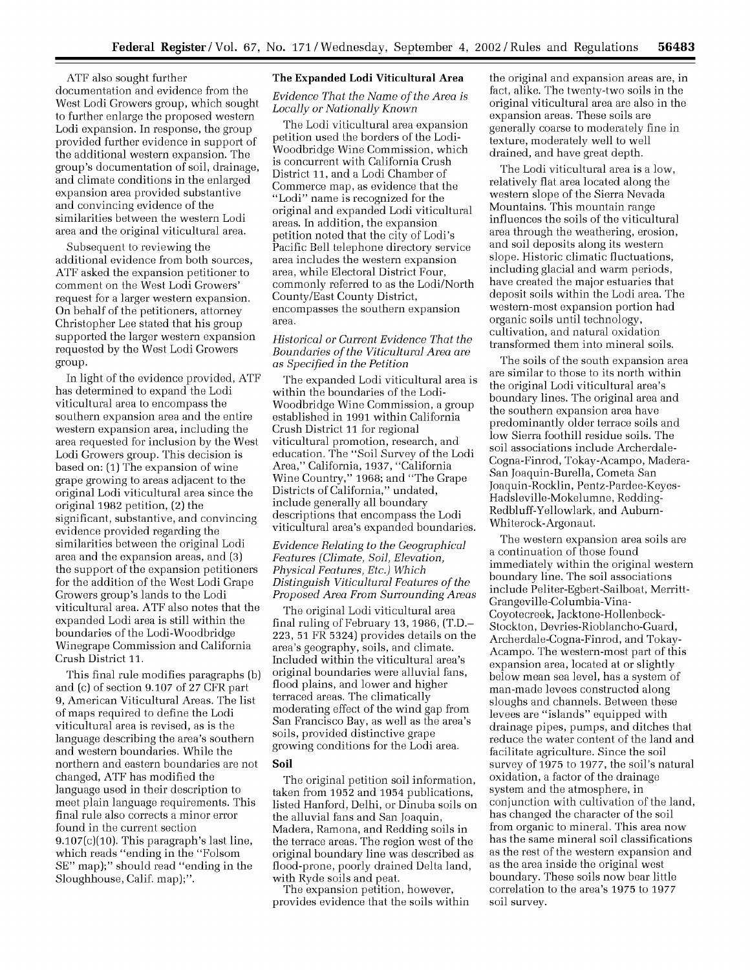ATF also sought further documentation and evidence from the West Lodi Growers group, which sought to further enlarge the proposed western Lodi expansion. In response, the group provided further evidence in support of the additional western expansion. The group's documentation of soil, drainage, and climate conditions in the enlarged expansion area provided substantive and convincing evidence of the similarities between the western Lodi area and the original viticultural area.

Subsequent to reviewing the additional evidence from both sources, ATF asked the expansion petitioner to comment on the West Lodi Growers' request for a larger western expansion. On behalf of the petitioners, attorney Christopher Lee stated that his group supported the larger western expansion requested by the West Lodi Growers group.

In light of the evidence provided, ATF has determined to expand the Lodi viticultural area to encompass the southern expansion area and the entire western expansion area, including the area requested for inclusion by the West Lodi Growers group. This decision is based on: **(1)** The expansion of wine grape growing to areas adjacent to the original Lodi viticultural area since the original **1982** petition, (2) the significant, substantive, and convincing evidence provided regarding the similarities between the original Lodi area and the expansion areas, and **(3)** the support of the expansion petitioners for the addition of the West Lodi Grape Growers group's lands to the Lodi viticultural area. ATF also notes that the expanded Lodi area is still within the boundaries of the Lodi-Woodbridge Winegrape Commission and California Crush District **11.**

This final rule modifies paragraphs (b) and (c) of section **9.107** of **27** CFR part **9,** American Viticultural Areas. The list of maps required to define the Lodi viticultural area is revised, as is the language describing the area's southern and western boundaries. While the northern and eastern boundaries are not changed, ATF has modified the language used in their description to meet plain language requirements. This final rule also corrects a minor error found in the current section 9.107(c)(10). This paragraph's last line, which reads "ending in the "Folsom SE" map);" should read "ending in the Sloughhouse, Calif. map);".

# **The Expanded Lodi Viticultural Area**

*Evidence That the Name of the Area is Locally or Nationally Known*

The Lodi viticultural area expansion petition used the borders of the Lodi-Woodbridge Wine Commission, which is concurrent with California Crush District **11,** and a Lodi Chamber of Commerce map, as evidence that the "Lodi" name is recognized for the original and expanded Lodi viticultural areas. In addition, the expansion petition noted that the city of Lodi's Pacific Bell telephone directory service area includes the western expansion area, while Electoral District Four, commonly referred to as the Lodi/North County/East County District, encompasses the southern expansion area.

# *Historical or Current Evidence That the Boundaries of the Viticultural Area are as Specified in the Petition*

The expanded Lodi viticultural area is within the boundaries of the Lodi-Woodbridge Wine Commission, a group established in **1991** within California Crush District **11** for regional viticultural promotion, research, and education. The "Soil Survey of the Lodi Area," California, **1937,** "California Wine Country," **1968;** and "The Grape Districts of California," undated, include generally all boundary descriptions that encompass the Lodi viticultural area's expanded boundaries.

*Evidence Relating to the Geographical Features (Climate, Soil, Elevation, Physical Features, Etc.) Which Distinguish Viticultural Features of the Proposed Area From Surrounding Areas*

The original Lodi viticultural area final ruling of February **13, 1986,** (T.D.- **223, 51** FR 5324) provides details on the area's geography, soils, and climate. Included within the viticultural area's original boundaries were alluvial fans, flood plains, and lower and higher terraced areas. The climatically moderating effect of the wind gap from San Francisco Bay, as well as the area's soils, provided distinctive grape growing conditions for the Lodi area.

#### **Soil**

The original petition soil information, taken from **1952** and 1954 publications, listed Hanford, Delhi, or Dinuba soils on the alluvial fans and San Joaquin, Madera, Ramona, and Redding soils in the terrace areas. The region west of the original boundary line was described as flood-prone, poorly drained Delta land, with Ryde soils and peat.

The expansion petition, however, provides evidence that the soils within the original and expansion areas are, in fact, alike. The twenty-two soils in the original viticultural area are also in the expansion areas. These soils are generally coarse to moderately fine in texture, moderately well to well drained, and have great depth.

The Lodi viticultural area is a low, relatively flat area located along the western slope of the Sierra Nevada Mountains. This mountain range influences the soils of the viticultural area through the weathering, erosion, and soil deposits along its western slope. Historic climatic fluctuations, including glacial and warm periods, have created the major estuaries that deposit soils within the Lodi area. The western-most expansion portion had organic soils until technology, cultivation, and natural oxidation transformed them into mineral soils.

The soils of the south expansion area are similar to those to its north within the original Lodi viticultural area's boundary lines. The original area and the southern expansion area have predominantly older terrace soils and low Sierra foothill residue soils. The soil associations include Archerdale-Cogna-Finrod, Tokay-Acampo, Madera-San Joaquin-Burella, Cometa San Joaquin-Rocklin, Pentz-Pardee-Keyes-Hadsleville-Mokelumne, Redding-Redbluff-Yellowlark, and Auburn-Whiterock-Argonaut.

The western expansion area soils are a continuation of those found immediately within the original western boundary line. The soil associations include Peliter-Egbert-Sailboat, Merritt-Grangeville-Columbia-Vina-Coyotecreek, Jacktone-Hollenbeck-Stockton, Devries-Rioblancho-Guard, Archerdale-Cogna-Finrod, and Tokay-Acampo. The western-most part of this expansion area, located at or slightly below mean sea level, has a system of man-made levees constructed along sloughs and channels. Between these levees are "islands" equipped with drainage pipes, pumps, and ditches that reduce the water content of the land and facilitate agriculture. Since the soil survey of **1975** to **1977,** the soil's natural oxidation, a factor of the drainage system and the atmosphere, in conjunction with cultivation of the land, has changed the character of the soil from organic to mineral. This area now has the same mineral soil classifications as the rest of the western expansion and as the area inside the original west boundary. These soils now bear little correlation to the area's **1975** to **1977** soil survey.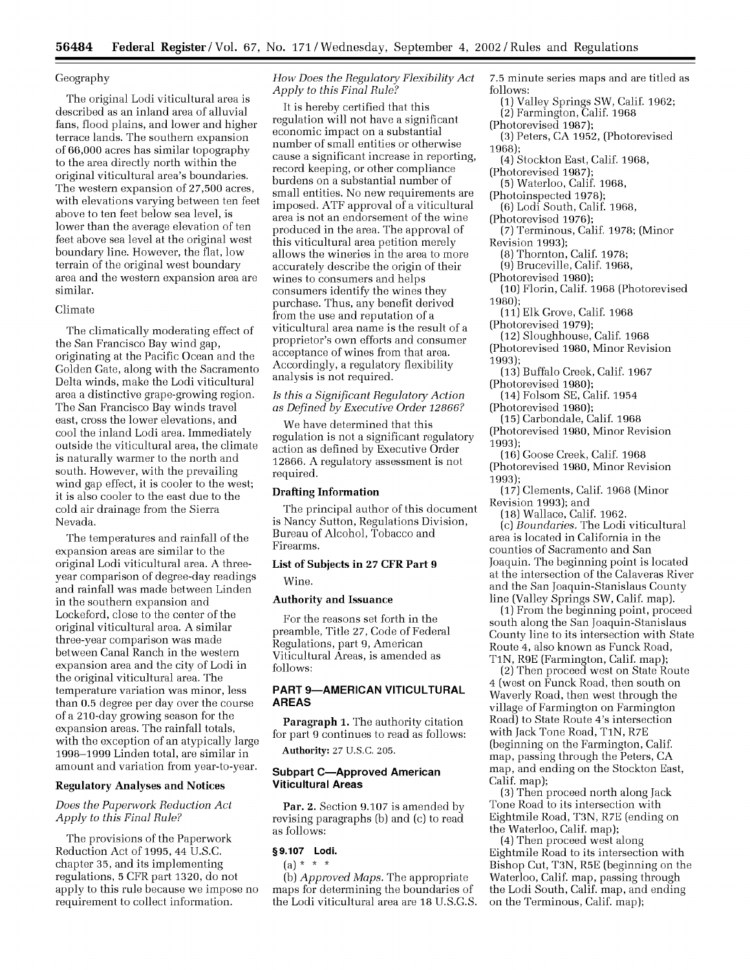# Geography

The original Lodi viticultural area is described as an inland area of alluvial fans, flood plains, and lower and higher terrace lands. The southern expansion of 66,000 acres has similar topography to the area directly north within the original viticultural area's boundaries. The western expansion of 27,500 acres, with elevations varying between ten feet above to ten feet below sea level, is lower than the average elevation of ten feet above sea level at the original west boundary line. However, the flat, low terrain of the original west boundary area and the western expansion area are similar.

#### Climate

The climatically moderating effect of the San Francisco Bay wind gap, originating at the Pacific Ocean and the Golden Gate, along with the Sacramento Delta winds, make the Lodi viticultural area a distinctive grape-growing region. The San Francisco Bay winds travel east, cross the lower elevations, and cool the inland Lodi area. Immediately outside the viticultural area, the climate is naturally warmer to the north and south. However, with the prevailing wind gap effect, it is cooler to the west; it is also cooler to the east due to the cold air drainage from the Sierra Nevada.

The temperatures and rainfall of the expansion areas are similar to the original Lodi viticultural area. A threeyear comparison of degree-day readings and rainfall was made between Linden in the southern expansion and Lockeford, close to the center of the original viticultural area. A similar three-year comparison was made between Canal Ranch in the western expansion area and the city of Lodi in the original viticultural area. The temperature variation was minor, less than 0.5 degree per day over the course of a 210-day growing season for the expansion areas. The rainfall totals, with the exception of an atypically large 1998-1999 Linden total, are similar in amount and variation from year-to-year.

# Regulatory Analyses **and Notices**

# *Does the Paperwork Reduction Act Apply to this Final Rule?*

The provisions of the Paperwork Reduction Act of 1995, 44 U.S.C. chapter 35, and its implementing regulations, **5** CFR part 1320, do not apply to this rule because we impose no requirement to collect information.

# *How Does the Regulatory Flexibility Act Apply to this Final Rule?*

It is hereby certified that this regulation will not have a significant economic impact on a substantial number of small entities or otherwise cause a significant increase in reporting, record keeping, or other compliance burdens on a substantial number of small entities. No new requirements are imposed. ATF approval of a viticultural area is not an endorsement of the wine produced in the area. The approval of this viticultural area petition merely allows the wineries in the area to more accurately describe the origin of their wines to consumers and helps consumers identify the wines they purchase. Thus, any benefit derived from the use and reputation of a viticultural area name is the result of a proprietor's own efforts and consumer acceptance of wines from that area. Accordingly, a regulatory flexibility analysis is not required.

# *Is this a Significant Regulatory Action as Defined by Executive Order 12866?*

We have determined that this regulation is not a significant regulatory action as defined by Executive Order 12866. A regulatory assessment is not required.

# **Drafting Information**

The principal author of this document is Nancy Sutton, Regulations Division, Bureau of Alcohol, Tobacco and Firearms.

# **List of Subjects in 27** CFR Part **9**

Wine.

# **Authority and Issuance**

For the reasons set forth in the preamble, Title **27,** Code of Federal Regulations, part 9, American Viticultural Areas, is amended as follows:

## **PART 9-AMERICAN VITICULTURAL AREAS**

Paragraph **1.** The authority citation for part 9 continues to read as follows:

**Authority:** 27 **U.S.C.** 205.

# **Subpart C-Approved American Viticultural Areas**

Par. 2. Section 9.107 is amended by revising paragraphs (b) and (c) to read as follows:

### **§9.107 Lodi.**

 $(a) * * * *$ (b) *Approved Maps.* The appropriate maps for determining the boundaries of the Lodi viticultural area are 18 U.S.G.S. 7.5 minute series maps and are titled as follows:

(1) Valley Springs SW, Calif. 1962;

(2) Farmington, Calif. 1968

- (Photorevised 1987);
- (3) Peters, CA 1952, (Photorevised 1968);
- (4) Stockton East, Calif. 1968,

(Photorevised 1987);

- (5) Waterloo, Calif. 1968,
- (Photoinspected **1978);**
- **(6)** Lodi South, Calif. **1968,**

(Photorevised 1976);

- (7) Terminous, Calif. **1978;** (Minor Revision 1993);
	- **(8)** Thornton, Calif. **1978;**
- **(9)** Bruceville, Calif. 1968,
- (Photorevised 1980); (10) Florin, Calif. 1968 (Photorevised 1980);
- 

**(11)** Elk Grove, Calif. 1968 (Photorevised 1979);

- (12) Sloughhouse, Calif. 1968 (Photorevised 1980, Minor Revision
- 1993);
- (13) Buffalo Creek, Calif. 1967 (Photorevised 1980);

(14) Folsom SE, Calif. 1954 (Photorevised 1980);

- **(15)** Carbondale, Calif. 1968 (Photorevised 1980, Minor Revision
- 1993); (16) Goose Creek, Calif. **1968**
- (Photorevised 1980, Minor Revision 1993);
- (17) Clements, Calif. 1968 (Minor Revision 1993); and

(18) Wallace, Calif. 1962.

(c) *Boundaries.* The Lodi viticultural area is located in California in the counties of Sacramento and San Joaquin. The beginning point is located at the intersection of the Calaveras River and the San Joaquin-Stanislaus County line (Valley Springs SW, Calif. map).

(1) From the beginning point, proceed south along the San Joaquin-Stanislaus County line to its intersection with State Route 4, also known as Funck Road, TiN, R9E (Farmington, Calif. map);

(2) Then proceed west on State Route 4 (west on Funck Road, then south on Waverly Road, then west through the village of Farmington on Farmington Road) to State Route 4's intersection with Jack Tone Road, TiN, R7E (beginning on the Farmington, Calif. map, passing through the Peters, CA map, and ending on the Stockton East, Calif. map);

**(3)** Then proceed north along Jack Tone Road to its intersection with Eightmile Road, T3N, R7E (ending on the Waterloo, Calif. map);

(4) Then proceed west along Eightmile Road to its intersection with Bishop Cut, T3N, R5E (beginning on the Waterloo, Calif. map, passing through the Lodi South, Calif. map, and ending on the Terminous, Calif. map);